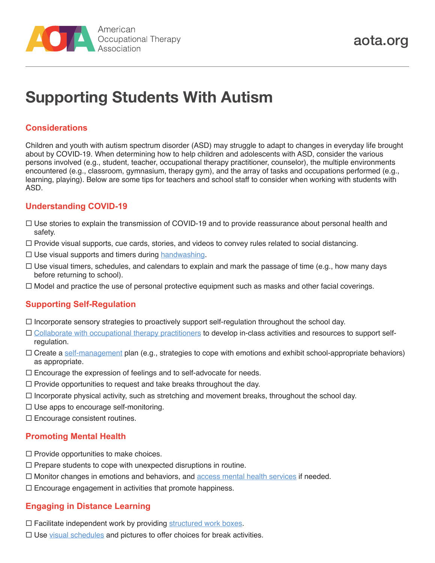

# **Supporting Students With Autism**

# **Considerations**

Children and youth with autism spectrum disorder (ASD) may struggle to adapt to changes in everyday life brought about by COVID-19. When determining how to help children and adolescents with ASD, consider the various persons involved (e.g., student, teacher, occupational therapy practitioner, counselor), the multiple environments encountered (e.g., classroom, gymnasium, therapy gym), and the array of tasks and occupations performed (e.g., learning, playing). Below are some tips for teachers and school staff to consider when working with students with ASD.

# **Understanding COVID-19**

- $\Box$  Use stories to explain the transmission of COVID-19 and to provide reassurance about personal health and safety.
- $\Box$  Provide visual supports, cue cards, stories, and videos to convey rules related to social distancing.
- $\Box$  Use visual supports and timers during [handwashing](https://www.cdc.gov/handwashing/handwashing-family.html).
- $\Box$  Use visual timers, schedules, and calendars to explain and mark the passage of time (e.g., how many days before returning to school).
- $\Box$  Model and practice the use of personal protective equipment such as masks and other facial coverings.

#### **Supporting Self-Regulation**

- $\Box$  Incorporate sensory strategies to proactively support self-regulation throughout the school day.
- [Collaborate with occupational therapy practitioners](https://www.aota.org/~/media/Corporate/Files/AboutOT/Professionals/WhatIsOT/CY/Fact-Sheets/FactSheet_SensoryIntegration.pdf) to develop in-class activities and resources to support selfregulation.
- $\Box$  Create a [self-management](https://www.unl.edu/asdnetwork/self-management-individuals-asd) plan (e.g., strategies to cope with emotions and exhibit school-appropriate behaviors) as appropriate.
- $\Box$  Encourage the expression of feelings and to self-advocate for needs.
- $\Box$  Provide opportunities to request and take breaks throughout the day.
- $\Box$  Incorporate physical activity, such as stretching and movement breaks, throughout the school day.
- $\square$  Use apps to encourage self-monitoring.
- $\square$  Encourage consistent routines.

#### **Promoting Mental Health**

- $\square$  Provide opportunities to make choices.
- $\square$  Prepare students to cope with unexpected disruptions in routine.
- $\Box$  Monitor changes in emotions and behaviors, and  $access$  mental health services if needed.
- $\square$  Encourage engagement in activities that promote happiness.

# **Engaging in Distance Learning**

- $\Box$  Facilitate independent work by providing [structured work boxes.](https://www.easterseals.com/chicago/shared-components/document-library/autism-resources/i-strctured-work-systems.pdf)
- $\Box$  Use [visual schedules](https://www.easterseals.com/chicago/shared-components/document-library/autism-resources/s-visual-schedules.pdf) and pictures to offer choices for break activities.